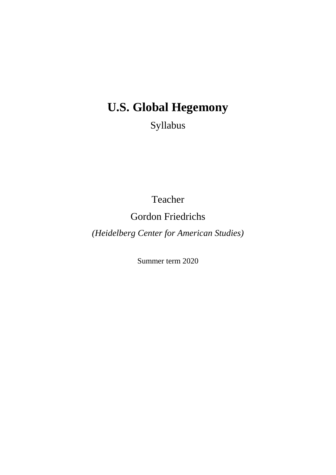# **U.S. Global Hegemony**

Syllabus

Teacher

Gordon Friedrichs

*(Heidelberg Center for American Studies)*

Summer term 2020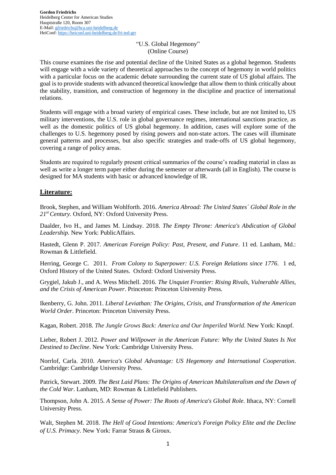## "U.S. Global Hegemony" (Online Course)

This course examines the rise and potential decline of the United States as a global hegemon. Students will engage with a wide variety of theoretical approaches to the concept of hegemony in world politics with a particular focus on the academic debate surrounding the current state of US global affairs. The goal is to provide students with advanced theoretical knowledge that allow them to think critically about the stability, transition, and construction of hegemony in the discipline and practice of international relations.

Students will engage with a broad variety of empirical cases. These include, but are not limited to, US military interventions, the U.S. role in global governance regimes, international sanctions practice, as well as the domestic politics of US global hegemony. In addition, cases will explore some of the challenges to U.S. hegemony posed by rising powers and non-state actors. The cases will illuminate general patterns and processes, but also specific strategies and trade-offs of US global hegemony, covering a range of policy areas.

Students are required to regularly present critical summaries of the course's reading material in class as well as write a longer term paper either during the semester or afterwards (all in English). The course is designed for MA students with basic or advanced knowledge of IR.

# **Literature:**

Brook, Stephen, and William Wohlforth. 2016. *America Abroad: The United States´ Global Role in the 21st Century.* Oxford, NY: Oxford University Press.

Daalder, Ivo H., and James M. Lindsay. 2018. *The Empty Throne: America's Abdication of Global Leadership*. New York: PublicAffairs.

Hastedt, Glenn P. 2017. *American Foreign Policy: Past, Present, and Future*. 11 ed. Lanham, Md.: Rowman & Littlefield.

Herring, George C. 2011. *From Colony to Superpower: U.S. Foreign Relations since 1776*. 1 ed, Oxford History of the United States. Oxford: Oxford University Press.

Grygiel, Jakub J., and A. Wess Mitchell. 2016. *The Unquiet Frontier: Rising Rivals, Vulnerable Allies, and the Crisis of American Power*. Princeton: Princeton University Press.

Ikenberry, G. John. 2011. *Liberal Leviathan: The Origins, Crisis, and Transformation of the American World Order*. Princeton: Princeton University Press.

Kagan, Robert. 2018. *The Jungle Grows Back: America and Our Imperiled World*. New York: Knopf.

Lieber, Robert J. 2012. *Power and Willpower in the American Future: Why the United States Is Not Destined to Decline*. New York: Cambridge University Press.

Norrlof, Carla. 2010. *America's Global Advantage: US Hegemony and International Cooperation*. Cambridge: Cambridge University Press.

Patrick, Stewart. 2009. *The Best Laid Plans: The Origins of American Multilateralism and the Dawn of the Cold War*. Lanham, MD: Rowman & Littlefield Publishers.

Thompson, John A. 2015. *A Sense of Power: The Roots of America's Global Role*. Ithaca, NY: Cornell University Press.

Walt, Stephen M. 2018. *The Hell of Good Intentions: America's Foreign Policy Elite and the Decline of U.S. Primacy*. New York: Farrar Straus & Giroux.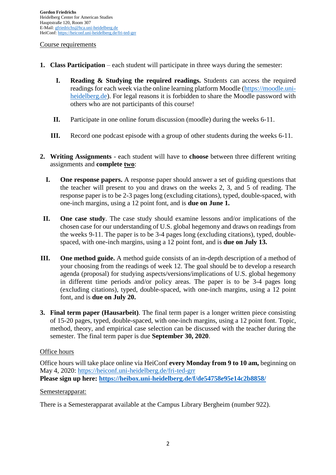## Course requirements

- **1. Class Participation** each student will participate in three ways during the semester:
	- **I. Reading & Studying the required readings.** Students can access the required readings for each week via the online learning platform Moodle [\(https://moodle.uni](https://moodle.uni-heidelberg.de/)[heidelberg.de\)](https://moodle.uni-heidelberg.de/). For legal reasons it is forbidden to share the Moodle password with others who are not participants of this course!
	- **II.** Participate in one online forum discussion (moodle) during the weeks 6-11.
	- **III.** Record one podcast episode with a group of other students during the weeks 6-11.
- **2. Writing Assignments** each student will have to **choose** between three different writing assignments and **complete two**:
	- **I. One response papers.** A response paper should answer a set of guiding questions that the teacher will present to you and draws on the weeks 2, 3, and 5 of reading. The response paper is to be 2-3 pages long (excluding citations), typed, double-spaced, with one-inch margins, using a 12 point font, and is **due on June 1.**
- **II. One case study**. The case study should examine lessons and/or implications of the chosen case for our understanding of U.S. global hegemony and draws on readings from the weeks 9-11. The paper is to be 3-4 pages long (excluding citations), typed, doublespaced, with one-inch margins, using a 12 point font, and is **due on July 13.**
- **III. One method guide.** A method guide consists of an in-depth description of a method of your choosing from the readings of week 12. The goal should be to develop a research agenda (proposal) for studying aspects/versions/implications of U.S. global hegemony in different time periods and/or policy areas. The paper is to be 3-4 pages long (excluding citations), typed, double-spaced, with one-inch margins, using a 12 point font, and is **due on July 20.**
- **3. Final term paper (Hausarbeit)**. The final term paper is a longer written piece consisting of 15-20 pages, typed, double-spaced, with one-inch margins, using a 12 point font. Topic, method, theory, and empirical case selection can be discussed with the teacher during the semester. The final term paper is due **September 30, 2020**.

# Office hours

Office hours will take place online via HeiConf **every Monday from 9 to 10 am,** beginning on May 4, 2020:<https://heiconf.uni-heidelberg.de/fri-ted-grr> **Please sign up here:<https://heibox.uni-heidelberg.de/f/de54758e95e14c2b8858/>**

# Semesterapparat:

There is a Semesterapparat available at the Campus Library Bergheim (number 922).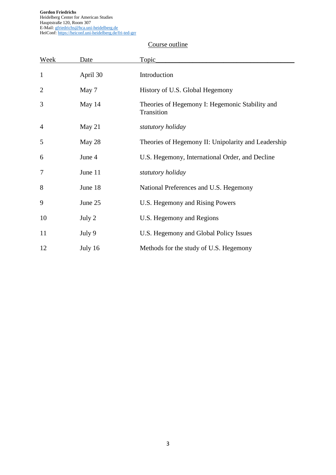**Gordon Friedrichs** Heidelberg Center for American Studies Hauptstraße 120, Room 307 E-Mail[: gfriedrichs@hca.uni-heidelberg.de](mailto:gfriedrichs@hca.uni-heidelberg.de) HeiConf[: https://heiconf.uni-heidelberg.de/fri-ted-grr](https://heiconf.uni-heidelberg.de/fri-ted-grr)

# Course outline

| Week           | Date     | Topic                                                         |
|----------------|----------|---------------------------------------------------------------|
| $\mathbf{1}$   | April 30 | Introduction                                                  |
| $\overline{2}$ | May 7    | History of U.S. Global Hegemony                               |
| 3              | May 14   | Theories of Hegemony I: Hegemonic Stability and<br>Transition |
| $\overline{4}$ | May 21   | statutory holiday                                             |
| 5              | May 28   | Theories of Hegemony II: Unipolarity and Leadership           |
| 6              | June 4   | U.S. Hegemony, International Order, and Decline               |
| 7              | June 11  | statutory holiday                                             |
| 8              | June 18  | National Preferences and U.S. Hegemony                        |
| 9              | June 25  | U.S. Hegemony and Rising Powers                               |
| 10             | July 2   | U.S. Hegemony and Regions                                     |
| 11             | July 9   | U.S. Hegemony and Global Policy Issues                        |
| 12             | July 16  | Methods for the study of U.S. Hegemony                        |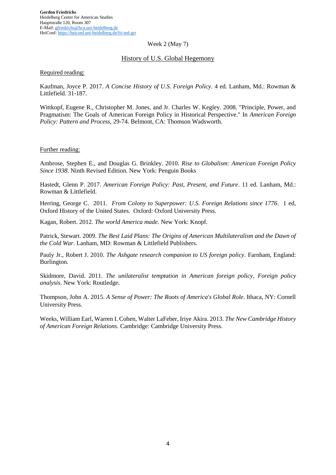#### Week 2 (May 7)

# History of U.S. Global Hegemony

#### Required reading:

Kaufman, Joyce P. 2017. *A Concise History of U.S. Foreign Policy*. 4 ed. Lanham, Md.: Rowman & Littlefield. 31-187.

Wittkopf, Eugene R., Christopher M. Jones, and Jr. Charles W. Kegley. 2008. "Principle, Power, and Pragmatism: The Goals of American Foreign Policy in Historical Perspective." In *American Foreign Policy: Pattern and Process*, 29-74. Belmont, CA: Thomson Wadsworth.

#### Further reading:

Ambrose, Stephen E., and Douglas G. Brinkley. 2010. *Rise to Globalism: American Foreign Policy Since 1938*. Ninth Revised Edition. New York: Penguin Books

Hastedt, Glenn P. 2017. *American Foreign Policy: Past, Present, and Future*. 11 ed. Lanham, Md.: Rowman & Littlefield.

Herring, George C. 2011. *From Colony to Superpower: U.S. Foreign Relations since 1776*. 1 ed, Oxford History of the United States. Oxford: Oxford University Press.

Kagan, Robert. 2012. *The world America made*. New York: Knopf.

Patrick, Stewart. 2009. *The Best Laid Plans: The Origins of American Multilateralism and the Dawn of the Cold War*. Lanham, MD: Rowman & Littlefield Publishers.

Pauly Jr., Robert J. 2010. *The Ashgate research companion to US foreign policy*. Farnham, England: Burlington.

Skidmore, David. 2011. *The unilateralist temptation in American foreign policy*, *Foreign policy analysis*. New York: Routledge.

Thompson, John A. 2015. *A Sense of Power: The Roots of America's Global Role*. Ithaca, NY: Cornell University Press.

Weeks, William Earl, Warren I. Cohen, Walter LaFeber, Iriye Akira. 2013. *The New Cambridge History of American Foreign Relations*. Cambridge: Cambridge University Press.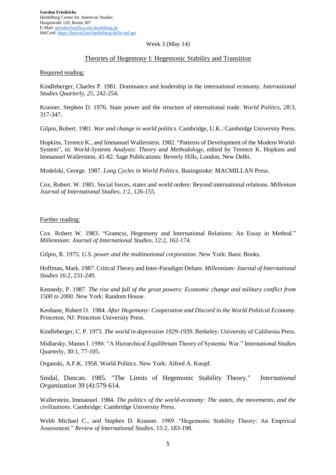#### Week 3 (May 14)

# Theories of Hegemony I: Hegemonic Stability and Transition

#### Required reading:

Kindleberger, Charles P. 1981. Dominance and leadership in the international economy. *International Studies Quarterly, 25*, 242-254.

Krasner, Stephen D. 1976. State power and the structure of international trade. *World Politics, 28*:3, 317-347.

Gilpin, Robert. 1981. *War and change in world politics*. Cambridge, U.K.: Cambridge University Press.

Hopkins, Terence K., and Immanuel Wallerstein. 1982. "Patterns of Development of the Modern World-System", in: *World-Systems Analysis: Theory and Methodology*, edited by Terence K. Hopkins and Immanuel Wallerstein, 41-82. Sage Publications: Beverly Hills, London, New Delhi.

Modelski, George. 1987. *Long Cycles in World Politics*. Basingstoke: MACMILLAN Press.

Cox, Robert. W. 1981. Social forces, states and world orders: Beyond international relations. *Millenium Journal of International Studies, 1*:2, 126-155.

#### Further reading:

Cox. Robert W. 1983. "Gramcsi, Hegemony and International Relations: An Essay in Method." *Millennium: Journal of International Studies*, 12:2, 162-174.

Gilpin, R. 1975. *U.S. power and the multinational corporation*. New York: Basic Books.

Hoffman, Mark. 1987. Critical Theory and Inter-Paradigm Debate. *Millennium: Journal of International Studies* 16:2, 231-249.

Kennedy, P. 1987. *The rise and fall of the great powers: Economic change and military conflict from 1500 to 2000*. New York: Random House.

Keohane, Robert O. 1984. *After Hegemony: Cooperation and Discord in the World Political Economy*. Princeton, NJ: Princeton University Press.

Kindleberger, C. P. 1973. *The world in depression 1929-1939*. Berkeley: University of California Press.

Midlarsky, Manus I. 1986. "A Hierarchical Equilibrium Theory of Systemic War." International Studies Quarterly, 30:1, 77-105.

Organski, A.F.K. 1958. World Politics. New York: Alfred A. Knopf.

Snidal, Duncan. 1985. "The Limits of Hegemonic Stability Theory." *International Organization* 39 (4):579-614.

Wallerstein, Immanuel. 1984. *The politics of the world-economy: The states, the movements, and the civilizations*. Cambridge: Cambridge University Press.

Webb Michael C., and Stephen D. Krasner. 1989. "Hegemonic Stability Theory: An Empirical Assessment." *Review of International Studies*, 15:2, 183-198.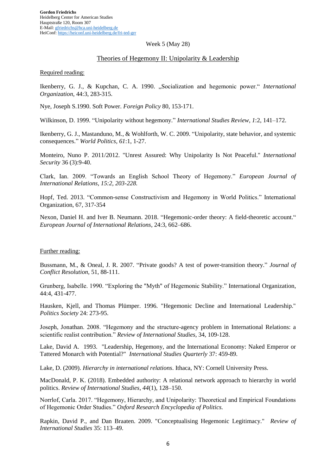#### Week 5 (May 28)

### Theories of Hegemony II: Unipolarity & Leadership

#### Required reading:

Ikenberry, G. J., & Kupchan, C. A. 1990. "Socialization and hegemonic power." *International Organization*, 44:3, 283-315.

Nye, Joseph S.1990. Soft Power. *Foreign Policy* 80, 153-171.

Wilkinson, D. 1999. "Unipolarity without hegemony." *International Studies Review*, *1*:2, 141–172.

Ikenberry, G. J., Mastanduno, M., & Wohlforth, W. C. 2009. "Unipolarity, state behavior, and systemic consequences." *World Politics, 61*:1, 1-27.

Monteiro, Nuno P. 2011/2012. "Unrest Assured: Why Unipolarity Is Not Peaceful." *International Security* 36 (3):9-40.

Clark, Ian. 2009. "Towards an English School Theory of Hegemony." *European Journal of International Relations, 15:2, 203-228.*

Hopf, Ted. 2013. "Common-sense Constructivism and Hegemony in World Politics." International Organization, 67, 317-354

Nexon, Daniel H. and Iver B. Neumann. 2018. "Hegemonic-order theory: A field-theoretic account." *European Journal of International Relations*, 24:3, 662–686.

# Further reading:

Bussmann, M., & Oneal, J. R. 2007. "Private goods? A test of power-transition theory." *Journal of Conflict Resolution*, 51, 88-111.

Grunberg, Isabelle. 1990. "Exploring the "Myth" of Hegemonic Stability." International Organization, 44:4, 431-477.

Hausken, Kjell, and Thomas Plümper. 1996. "Hegemonic Decline and International Leadership." *Politics Society* 24: 273-95.

Joseph, Jonathan. 2008. "Hegemony and the structure-agency problem in International Relations: a scientific realist contribution." *Review of International Studies*, 34, 109-128.

Lake, David A. 1993. "Leadership, Hegemony, and the International Economy: Naked Emperor or Tattered Monarch with Potential?" *International Studies Quarterly* 37: 459-89.

Lake, D. (2009). *Hierarchy in international relations*. Ithaca, NY: Cornell University Press.

MacDonald, P. K. (2018). Embedded authority: A relational network approach to hierarchy in world politics. *Review of International Studies*, *44*(1), 128–150.

Norrlof, Carla. 2017. "Hegemony, Hierarchy, and Unipolarity: Theoretical and Empirical Foundations of Hegemonic Order Studies." *Oxford Research Encyclopedia of Politics.*

Rapkin, David P., and Dan Braaten. 2009. "Conceptualising Hegemonic Legitimacy." *Review of International Studies* 35: 113–49.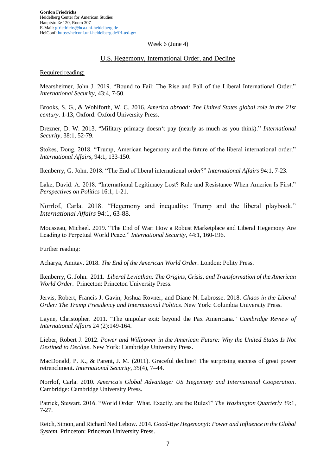#### Week 6 (June 4)

# U.S. Hegemony, International Order, and Decline

#### Required reading:

Mearsheimer, John J. 2019. "Bound to Fail: The Rise and Fall of the Liberal International Order." *International Security*, 43:4, 7-50.

Brooks, S. G., & Wohlforth, W. C. 2016. *America abroad: The United States global role in the 21st century*. 1-13, Oxford: Oxford University Press.

Drezner, D. W. 2013. "Military primacy doesn't pay (nearly as much as you think)." *International Security*, 38:1, 52-79.

Stokes, Doug. 2018. "Trump, American hegemony and the future of the liberal international order." *International Affairs*, 94:1, 133-150.

Ikenberry, G. John. 2018. "The End of liberal international order?" *International Affairs* 94:1, 7-23.

Lake, David. A. 2018. "International Legitimacy Lost? Rule and Resistance When America Is First." *Perspectives on Politics* 16:1, 1-21.

Norrlof, Carla. 2018. "Hegemony and inequality: Trump and the liberal playbook." *International Affairs* 94:1, 63-88.

Mousseau, Michael. 2019. "The End of War: How a Robust Marketplace and Liberal Hegemony Are Leading to Perpetual World Peace." *International Security*, 44:1, 160-196.

Further reading:

Acharya, Amitav. 2018. *The End of the American World Order*. London: Polity Press.

Ikenberry, G. John. 2011. *Liberal Leviathan: The Origins, Crisis, and Transformation of the American World Order*. Princeton: Princeton University Press.

Jervis, Robert, Francis J. Gavin, Joshua Rovner, and Diane N. Labrosse. 2018. *Chaos in the Liberal Order: The Trump Presidency and International Politics*. New York: Columbia University Press.

Layne, Christopher. 2011. "The unipolar exit: beyond the Pax Americana." *Cambridge Review of International Affairs* 24 (2):149-164.

Lieber, Robert J. 2012. *Power and Willpower in the American Future: Why the United States Is Not Destined to Decline*. New York: Cambridge University Press.

MacDonald, P. K., & Parent, J. M. (2011). Graceful decline? The surprising success of great power retrenchment. *International Security*, *35*(4), 7–44.

Norrlof, Carla. 2010. *America's Global Advantage: US Hegemony and International Cooperation*. Cambridge: Cambridge University Press.

Patrick, Stewart. 2016. "World Order: What, Exactly, are the Rules?" *The Washington Quarterly* 39:1, 7-27.

Reich, Simon, and Richard Ned Lebow. 2014. *Good-Bye Hegemony!: Power and Influence in the Global System*. Princeton: Princeton University Press.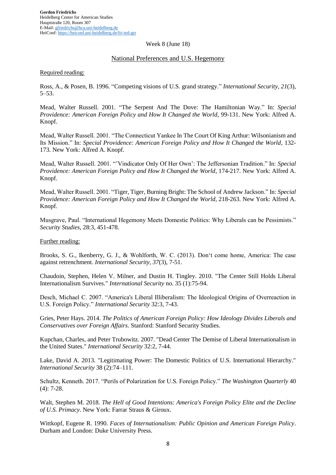#### Week 8 (June 18)

# National Preferences and U.S. Hegemony

#### Required reading:

Ross, A., & Posen, B. 1996. "Competing visions of U.S. grand strategy." *International Security*, *21*(3), 5–53.

Mead, Walter Russell. 2001. "The Serpent And The Dove: The Hamiltonian Way." In: *Special Providence: American Foreign Policy and How It Changed the World*, 99-131. New York: Alfred A. Knopf.

Mead, Walter Russell. 2001. "The Connecticut Yankee In The Court Of King Arthur: Wilsonianism and Its Mission." In: *Special Providence: American Foreign Policy and How It Changed the World*, 132- 173. New York: Alfred A. Knopf.

Mead, Walter Russell. 2001. "'Vindicator Only Of Her Own': The Jeffersonian Tradition." In: *Special Providence: American Foreign Policy and How It Changed the World*, 174-217. New York: Alfred A. Knopf.

Mead, Walter Russell. 2001. "Tiger, Tiger, Burning Bright: The School of Andrew Jackson." In: *Special Providence: American Foreign Policy and How It Changed the World*, 218-263. New York: Alfred A. Knopf.

Musgrave, Paul. "International Hegemony Meets Domestic Politics: Why Liberals can be Pessimists." *Security Studies*, 28:3, 451-478.

## Further reading:

Brooks, S. G., Ikenberry, G. J., & Wohlforth, W. C. (2013). Don't come home, America: The case against retrenchment. *International Security, 37*(3), 7-51.

Chaudoin, Stephen, Helen V. Milner, and Dustin H. Tingley. 2010. "The Center Still Holds Liberal Internationalism Survives." *International Security* no. 35 (1):75-94.

Desch, Michael C. 2007. "America's Liberal Illiberalism: The Ideological Origins of Overreaction in U.S. Foreign Policy." *International Security* 32:3, 7-43.

Gries, Peter Hays. 2014. *The Politics of American Foreign Policy: How Ideology Divides Liberals and Conservatives over Foreign Affairs*. Stanford: Stanford Security Studies.

Kupchan, Charles, and Peter Trubowitz. 2007. "Dead Center The Demise of Liberal Internationalism in the United States." *International Security* 32:2, 7-44.

Lake, David A. 2013. "Legitimating Power: The Domestic Politics of U.S. International Hierarchy." *International Security* 38 (2):74–111.

Schultz, Kenneth. 2017. "Perils of Polarization for U.S. Foreign Policy." *The Washington Quarterly* 40 (4): 7-28.

Walt, Stephen M. 2018. *The Hell of Good Intentions: America's Foreign Policy Elite and the Decline of U.S. Primacy*. New York: Farrar Straus & Giroux.

Wittkopf, Eugene R. 1990. *Faces of Internationalism: Public Opinion and American Foreign Policy*. Durham and London: Duke University Press.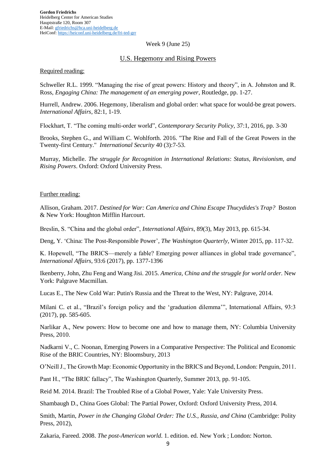#### Week 9 (June 25)

# U.S. Hegemony and Rising Powers

#### Required reading:

Schweller R.L. 1999. "Managing the rise of great powers: History and theory", in A. Johnston and R. Ross, *Engaging China: The management of an emerging power*, Routledge, pp. 1-27.

Hurrell, Andrew. 2006. Hegemony, liberalism and global order: what space for would-be great powers. *International Affairs*, 82:1, 1-19.

Flockhart, T. "The coming multi-order world", *Contemporary Security Policy*, 37:1, 2016, pp. 3-30

Brooks, Stephen G., and William C. Wohlforth. 2016. "The Rise and Fall of the Great Powers in the Twenty-first Century." *International Security* 40 (3):7-53.

Murray, Michelle. *The struggle for Recognition in International Relations*: *Status, Revisionism, and Rising Powers*. Oxford: Oxford University Press.

#### Further reading:

Allison, Graham. 2017. *Destined for War: Can America and China Escape Thucydides's Trap?* Boston & New York: Houghton Mifflin Harcourt.

Breslin, S. "China and the global order", *International Affairs*, 89(3), May 2013, pp. 615-34.

Deng, Y. 'China: The Post-Responsible Power', *The Washington Quarterly*, Winter 2015, pp. 117-32.

K. Hopewell, "The BRICS—merely a fable? Emerging power alliances in global trade governance", *International Affairs*, 93:6 (2017), pp. 1377-1396

Ikenberry, John, Zhu Feng and Wang Jisi. 2015. *America, China and the struggle for world order.* New York: Palgrave Macmillan.

Lucas E., The New Cold War: Putin's Russia and the Threat to the West, NY: Palgrave, 2014.

Milani C. et al., "Brazil's foreign policy and the 'graduation dilemma'", International Affairs, 93:3 (2017), pp. 585-605.

Narlikar A., New powers: How to become one and how to manage them, NY: Columbia University Press, 2010.

Nadkarni V., C. Noonan, Emerging Powers in a Comparative Perspective: The Political and Economic Rise of the BRIC Countries, NY: Bloomsbury, 2013

O'Neill J., The Growth Map: Economic Opportunity in the BRICS and Beyond, London: Penguin, 2011.

Pant H., "The BRIC fallacy", The Washington Quarterly, Summer 2013, pp. 91-105.

Reid M. 2014. Brazil: The Troubled Rise of a Global Power, Yale: Yale University Press.

Shambaugh D., China Goes Global: The Partial Power, Oxford: Oxford University Press, 2014.

Smith, Martin, *Power in the Changing Global Order: The U.S., Russia, and China* (Cambridge: Polity Press, 2012),

Zakaria, Fareed. 2008. *The post-American world*. 1. edition. ed. New York ; London: Norton.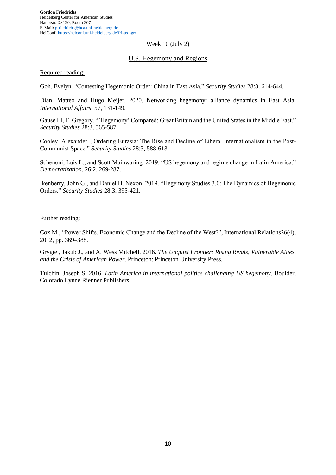#### Week 10 (July 2)

# U.S. Hegemony and Regions

#### Required reading:

Goh, Evelyn. "Contesting Hegemonic Order: China in East Asia." *Security Studies* 28:3, 614-644.

Dian, Matteo and Hugo Meijer. 2020. Networking hegemony: alliance dynamics in East Asia. *International Affairs*, 57, 131-149.

Gause III, F. Gregory. "'Hegemony' Compared: Great Britain and the United States in the Middle East." *Security Studies* 28:3, 565-587.

Cooley, Alexander. "Ordering Eurasia: The Rise and Decline of Liberal Internationalism in the Post-Communist Space." *Security Studies* 28:3, 588-613.

Schenoni, Luis L., and Scott Mainwaring. 2019. "US hegemony and regime change in Latin America." *Democratization*. 26:2, 269-287.

Ikenberry, John G., and Daniel H. Nexon. 2019. "Hegemony Studies 3.0: The Dynamics of Hegemonic Orders." *Security Studies* 28:3, 395-421.

#### Further reading:

Cox M., "Power Shifts, Economic Change and the Decline of the West?", International Relations26(4), 2012, pp. 369–388.

Grygiel, Jakub J., and A. Wess Mitchell. 2016. *The Unquiet Frontier: Rising Rivals, Vulnerable Allies, and the Crisis of American Power*. Princeton: Princeton University Press.

Tulchin, Joseph S. 2016. *Latin America in international politics challenging US hegemony*. Boulder, Colorado Lynne Rienner Publishers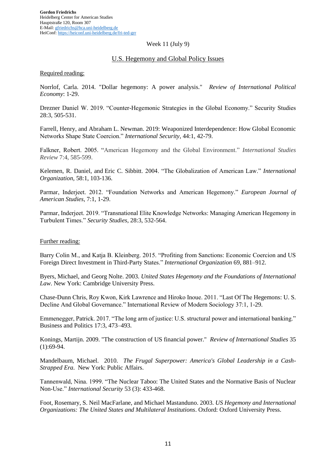#### Week 11 (July 9)

# U.S. Hegemony and Global Policy Issues

#### Required reading:

Norrlof, Carla. 2014. "Dollar hegemony: A power analysis." *Review of International Political Economy*: 1-29.

Drezner Daniel W. 2019. "Counter-Hegemonic Strategies in the Global Economy." Security Studies 28:3, 505-531.

Farrell, Henry, and Abraham L. Newman. 2019: Weaponized Interdependence: How Global Economic Networks Shape State Coercion." *International Security*, 44:1, 42-79.

Falkner, Robert. 2005. "American Hegemony and the Global Environment." *International Studies Review* 7:4, 585-599.

Kelemen, R. Daniel, and Eric C. Sibbitt. 2004. "The Globalization of American Law." *International Organization,* 58:1, 103-136.

Parmar, Inderjeet. 2012. "Foundation Networks and American Hegemony." *European Journal of American Studies*, 7:1, 1-29.

Parmar, Inderjeet. 2019. "Transnational Elite Knowledge Networks: Managing American Hegemony in Turbulent Times." *Security Studies*, 28:3, 532-564.

#### Further reading:

Barry Colin M., and Katja B. Kleinberg. 2015. "Profiting from Sanctions: Economic Coercion and US Foreign Direct Investment in Third-Party States." *International Organization* 69, 881–912.

Byers, Michael, and Georg Nolte. 2003. *United States Hegemony and the Foundations of International Law*. New York: Cambridge University Press.

Chase-Dunn Chris, Roy Kwon, Kirk Lawrence and Hiroko Inoue. 2011. "Last Of The Hegemons: U. S. Decline And Global Governance." International Review of Modern Sociology 37:1, 1-29.

Emmenegger, Patrick. 2017. "The long arm of justice: U.S. structural power and international banking." Business and Politics 17:3, 473–493.

Konings, Martijn. 2009. "The construction of US financial power." *Review of International Studies* 35  $(1):69-94.$ 

Mandelbaum, Michael. 2010. *The Frugal Superpower: America's Global Leadership in a Cash-Strapped Era*. New York: Public Affairs.

Tannenwald, Nina. 1999. "The Nuclear Taboo: The United States and the Normative Basis of Nuclear Non-Use." *International Security* 53 (3): 433-468.

Foot, Rosemary, S. Neil MacFarlane, and Michael Mastanduno. 2003. *US Hegemony and International Organizations: The United States and Multilateral Institutions*. Oxford: Oxford University Press.